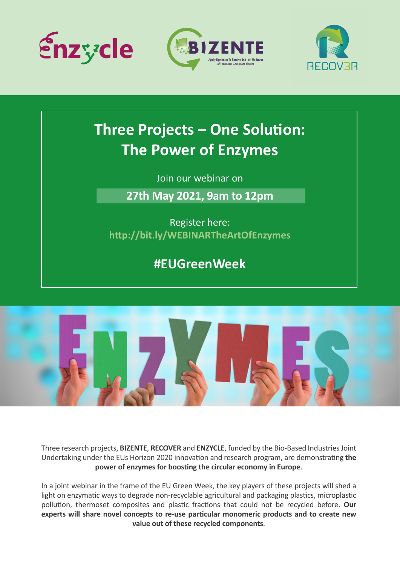





## **Three Projects - One Solution: The Power of Enzymes**

Join our webinar on

**27th May 2021, 9am to 12pm**

Register here: **[h�p://bit.ly/WEBINARTheArtOfEnzymes](http://bit.ly/WEBINARTheArtOfEnzymes)**

**#EUGreenWeek**



Three research projects, **BIZENTE**, **RECOVER** and **ENZYCLE**, funded by the Bio-Based Industries Joint Undertaking under the EUs Horizon 2020 innovation and research program, are demonstrating the power of enzymes for boosting the circular economy in Europe.

In a joint webinar in the frame of the EU Green Week, the key players of these projects will shed a light on enzymatic ways to degrade non-recyclable agricultural and packaging plastics, microplastic pollution, thermoset composites and plastic fractions that could not be recycled before. Our **experts will share novel concepts to re-use par�cular monomeric products and to create new value out of these recycled components**.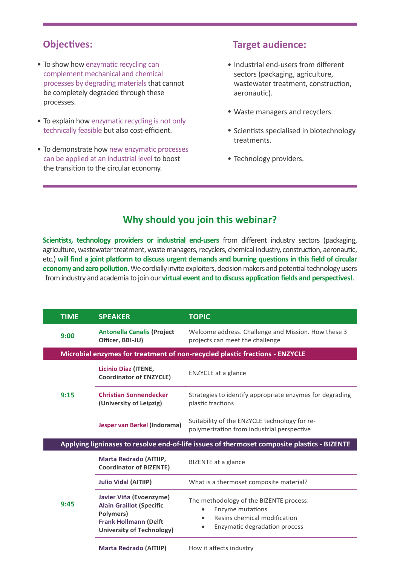- To show how enzymatic recycling can complement mechanical and chemical processes by degrading materials that cannot be completely degraded through these processes.
- To explain how enzymatic recycling is not only technically feasible but also cost-efficient.
- To demonstrate how new enzymatic processes can be applied at an industrial level to boost the transition to the circular economy.

## **Objectives: Target audience:**

- Industrial end-users from different sectors (packaging, agriculture, wastewater treatment, construction, aeronautic).
- Waste managers and recyclers.
- Scientists specialised in biotechnology treatments.
- Technology providers.

## **Why should you join this webinar?**

Scientists, technology providers or industrial end-users from different industry sectors (packaging, agriculture, wastewater treatment, waste managers, recyclers, chemical industry, construction, aeronautic, etc.) will find a joint platform to discuss urgent demands and burning questions in this field of circular **economy and zero pollution**. We cordially invite exploiters, decision makers and potential technology users from industry and academia to join our **virtual event and to discuss application fields and perspectives!**.

|  | <b>TIME</b>                                                                 | <b>SPEAKER</b>                                                                                                                              | <b>TOPIC</b>                                                                                                                                          |  |  |
|--|-----------------------------------------------------------------------------|---------------------------------------------------------------------------------------------------------------------------------------------|-------------------------------------------------------------------------------------------------------------------------------------------------------|--|--|
|  | 9:00                                                                        | <b>Antonella Canalis (Project</b><br>Officer, BBI-JU)                                                                                       | Welcome address. Challenge and Mission. How these 3<br>projects can meet the challenge                                                                |  |  |
|  | Microbial enzymes for treatment of non-recycled plastic fractions - ENZYCLE |                                                                                                                                             |                                                                                                                                                       |  |  |
|  | 9:15                                                                        | Licinio Díaz (ITENE,<br><b>Coordinator of ENZYCLE)</b>                                                                                      | <b>ENZYCLE</b> at a glance                                                                                                                            |  |  |
|  |                                                                             | <b>Christian Sonnendecker</b><br>(University of Leipzig)                                                                                    | Strategies to identify appropriate enzymes for degrading<br>plastic fractions                                                                         |  |  |
|  |                                                                             | Jesper van Berkel (Indorama)                                                                                                                | Suitability of the ENZYCLE technology for re-<br>polymerization from industrial perspective                                                           |  |  |
|  |                                                                             |                                                                                                                                             | Applying ligninases to resolve end-of-life issues of thermoset composite plastics - BIZENTE                                                           |  |  |
|  |                                                                             | Marta Redrado (AITIIP,<br><b>Coordinator of BIZENTE)</b>                                                                                    | BIZENTE at a glance                                                                                                                                   |  |  |
|  |                                                                             | <b>Julio Vidal (AITIIP)</b>                                                                                                                 | What is a thermoset composite material?                                                                                                               |  |  |
|  | 9:45                                                                        | Javier Viña (Evoenzyme)<br><b>Alain Graillot (Specific</b><br>Polymers)<br><b>Frank Hollmann (Delft</b><br><b>University of Technology)</b> | The methodology of the BIZENTE process:<br><b>Enzyme mutations</b><br>٠<br>Resins chemical modification<br>$\bullet$<br>Enzymatic degradation process |  |  |
|  |                                                                             | <b>Marta Redrado (AITIIP)</b>                                                                                                               | How it affects industry                                                                                                                               |  |  |